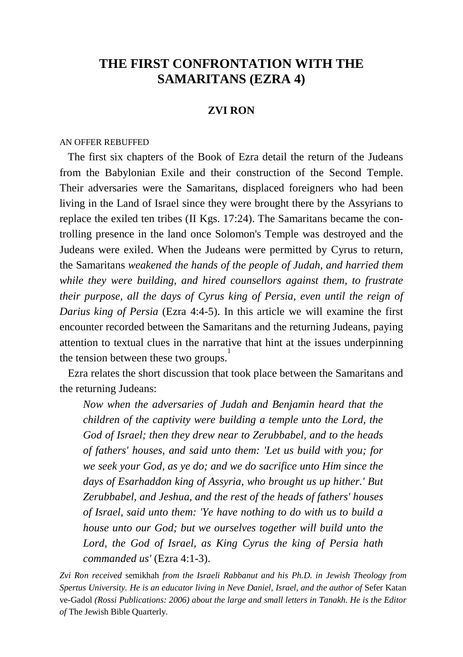# **THE FIRST CONFRONTATION WITH THE SAMARITANS (EZRA 4)**

# **ZVI RON**

#### AN OFFER REBUFFED

 The first six chapters of the Book of Ezra detail the return of the Judeans from the Babylonian Exile and their construction of the Second Temple. Their adversaries were the Samaritans, displaced foreigners who had been living in the Land of Israel since they were brought there by the Assyrians to replace the exiled ten tribes (II Kgs. 17:24). The Samaritans became the controlling presence in the land once Solomon's Temple was destroyed and the Judeans were exiled. When the Judeans were permitted by Cyrus to return, the Samaritans *weakened the hands of the people of Judah, and harried them while they were building, and hired counsellors against them, to frustrate their purpose, all the days of Cyrus king of Persia, even until the reign of Darius king of Persia* (Ezra 4:4-5). In this article we will examine the first encounter recorded between the Samaritans and the returning Judeans, paying attention to textual clues in the narrative that hint at the issues underpinning the tension between these two groups.<sup>1</sup>

 Ezra relates the short discussion that took place between the Samaritans and the returning Judeans:

*Now when the adversaries of Judah and Benjamin heard that the children of the captivity were building a temple unto the Lord, the God of Israel; then they drew near to Zerubbabel, and to the heads of fathers' houses, and said unto them: 'Let us build with you; for we seek your God, as ye do; and we do sacrifice unto Him since the days of Esarhaddon king of Assyria, who brought us up hither.' But Zerubbabel, and Jeshua, and the rest of the heads of fathers' houses of Israel, said unto them: 'Ye have nothing to do with us to build a house unto our God; but we ourselves together will build unto the Lord, the God of Israel, as King Cyrus the king of Persia hath commanded us'* (Ezra 4:1-3).

*Zvi Ron received* semikhah *from the Israeli Rabbanut and his Ph.D. in Jewish Theology from Spertus University. He is an educator living in Neve Daniel, Israel, and the author of* Sefer Katan ve-Gadol *(Rossi Publications: 2006) about the large and small letters in Tanakh. He is the Editor of* The Jewish Bible Quarterly*.*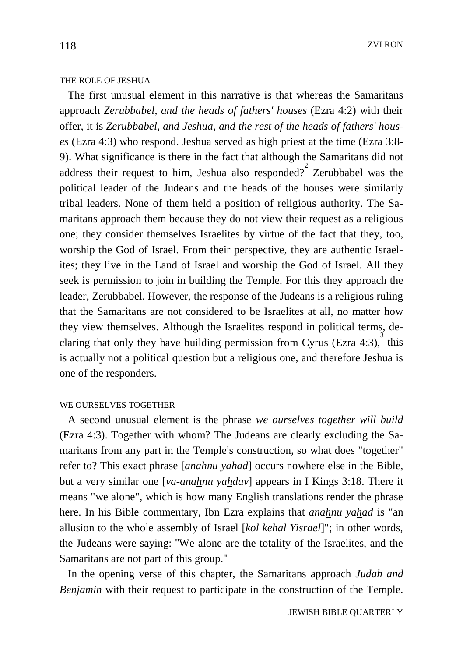## THE ROLE OF JESHUA

 The first unusual element in this narrative is that whereas the Samaritans approach *Zerubbabel, and the heads of fathers' houses* (Ezra 4:2) with their offer, it is *Zerubbabel, and Jeshua, and the rest of the heads of fathers' houses* (Ezra 4:3) who respond. Jeshua served as high priest at the time (Ezra 3:8- 9). What significance is there in the fact that although the Samaritans did not address their request to him, Jeshua also responded? Zerubbabel was the political leader of the Judeans and the heads of the houses were similarly tribal leaders. None of them held a position of religious authority. The Samaritans approach them because they do not view their request as a religious one; they consider themselves Israelites by virtue of the fact that they, too, worship the God of Israel. From their perspective, they are authentic Israelites; they live in the Land of Israel and worship the God of Israel. All they seek is permission to join in building the Temple. For this they approach the leader, Zerubbabel. However, the response of the Judeans is a religious ruling that the Samaritans are not considered to be Israelites at all, no matter how they view themselves. Although the Israelites respond in political terms, declaring that only they have building permission from Cyrus (Ezra 4:3),  $\frac{3}{3}$  this is actually not a political question but a religious one, and therefore Jeshua is one of the responders.

#### WE OURSELVES TOGETHER

 A second unusual element is the phrase *we ourselves together will build*  (Ezra 4:3). Together with whom? The Judeans are clearly excluding the Samaritans from any part in the Temple's construction, so what does "together" refer to? This exact phrase [*anahnu yahad*] occurs nowhere else in the Bible, but a very similar one [*va-anahnu yahdav*] appears in I Kings 3:18. There it means "we alone", which is how many English translations render the phrase here. In his Bible commentary, Ibn Ezra explains that *anahnu yahad* is "an allusion to the whole assembly of Israel [*kol kehal Yisrael*]"; in other words, the Judeans were saying: "We alone are the totality of the Israelites, and the Samaritans are not part of this group."

 In the opening verse of this chapter, the Samaritans approach *Judah and Benjamin* with their request to participate in the construction of the Temple.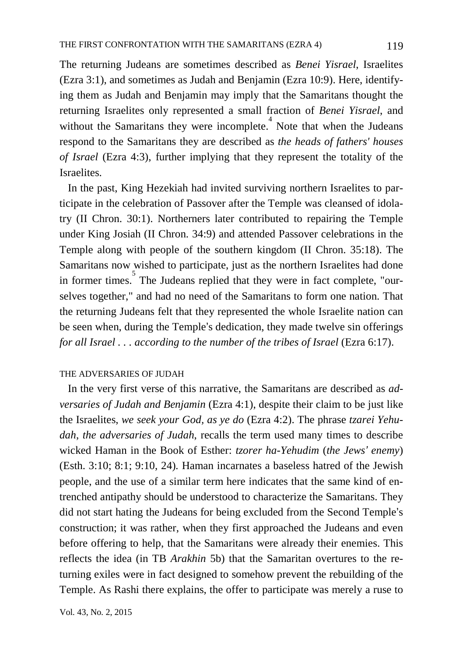The returning Judeans are sometimes described as *Benei Yisrael*, Israelites (Ezra 3:1), and sometimes as Judah and Benjamin (Ezra 10:9). Here, identifying them as Judah and Benjamin may imply that the Samaritans thought the returning Israelites only represented a small fraction of *Benei Yisrael*, and without the Samaritans they were incomplete. Note that when the Judeans respond to the Samaritans they are described as *the heads of fathers' houses of Israel* (Ezra 4:3), further implying that they represent the totality of the Israelites.

 In the past, King Hezekiah had invited surviving northern Israelites to participate in the celebration of Passover after the Temple was cleansed of idolatry (II Chron. 30:1). Northerners later contributed to repairing the Temple under King Josiah (II Chron. 34:9) and attended Passover celebrations in the Temple along with people of the southern kingdom (II Chron. 35:18). The Samaritans now wished to participate, just as the northern Israelites had done in former times. 5 The Judeans replied that they were in fact complete, "ourselves together," and had no need of the Samaritans to form one nation. That the returning Judeans felt that they represented the whole Israelite nation can be seen when, during the Temple's dedication, they made twelve sin offerings *for all Israel* . . *. according to the number of the tribes of Israel* (Ezra 6:17).

### THE ADVERSARIES OF JUDAH

 In the very first verse of this narrative, the Samaritans are described as *adversaries of Judah and Benjamin* (Ezra 4:1), despite their claim to be just like the Israelites, *we seek your God, as ye do* (Ezra 4:2). The phrase *tzarei Yehudah*, *the adversaries of Judah*, recalls the term used many times to describe wicked Haman in the Book of Esther: *tzorer ha-Yehudim* (*the Jews' enemy*) (Esth. 3:10; 8:1; 9:10, 24)*.* Haman incarnates a baseless hatred of the Jewish people, and the use of a similar term here indicates that the same kind of entrenched antipathy should be understood to characterize the Samaritans. They did not start hating the Judeans for being excluded from the Second Temple's construction; it was rather, when they first approached the Judeans and even before offering to help, that the Samaritans were already their enemies. This reflects the idea (in TB *Arakhin* 5b) that the Samaritan overtures to the returning exiles were in fact designed to somehow prevent the rebuilding of the Temple. As Rashi there explains, the offer to participate was merely a ruse to

Vol. 43, No. 2, 2015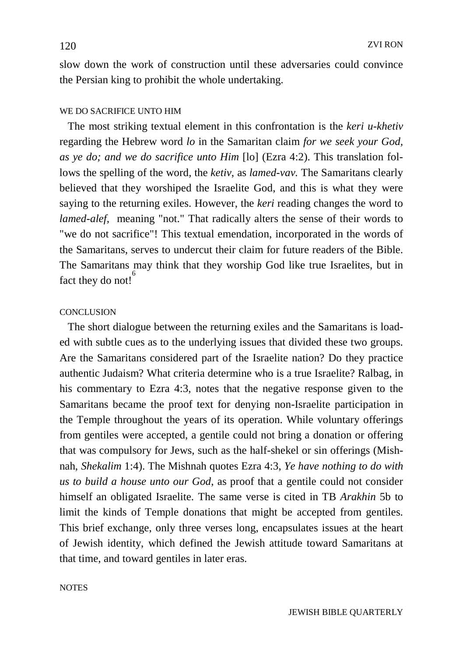slow down the work of construction until these adversaries could convince the Persian king to prohibit the whole undertaking.

#### WE DO SACRIFICE UNTO HIM

 The most striking textual element in this confrontation is the *keri u-khetiv* regarding the Hebrew word *lo* in the Samaritan claim *for we seek your God, as ye do; and we do sacrifice unto Him* [lo] (Ezra 4:2). This translation follows the spelling of the word, the *ketiv*, as *lamed-vav.* The Samaritans clearly believed that they worshiped the Israelite God, and this is what they were saying to the returning exiles. However, the *keri* reading changes the word to *lamed-alef,* meaning "not." That radically alters the sense of their words to "we do not sacrifice"! This textual emendation, incorporated in the words of the Samaritans, serves to undercut their claim for future readers of the Bible. The Samaritans may think that they worship God like true Israelites, but in fact they do not!<sup>6</sup>

#### **CONCLUSION**

 The short dialogue between the returning exiles and the Samaritans is loaded with subtle cues as to the underlying issues that divided these two groups. Are the Samaritans considered part of the Israelite nation? Do they practice authentic Judaism? What criteria determine who is a true Israelite? Ralbag, in his commentary to Ezra 4:3, notes that the negative response given to the Samaritans became the proof text for denying non-Israelite participation in the Temple throughout the years of its operation. While voluntary offerings from gentiles were accepted, a gentile could not bring a donation or offering that was compulsory for Jews, such as the half-shekel or sin offerings (Mishnah, *Shekalim* 1:4). The Mishnah quotes Ezra 4:3, *Ye have nothing to do with us to build a house unto our God*, as proof that a gentile could not consider himself an obligated Israelite. The same verse is cited in TB *Arakhin* 5b to limit the kinds of Temple donations that might be accepted from gentiles. This brief exchange, only three verses long, encapsulates issues at the heart of Jewish identity, which defined the Jewish attitude toward Samaritans at that time, and toward gentiles in later eras.

**NOTES**